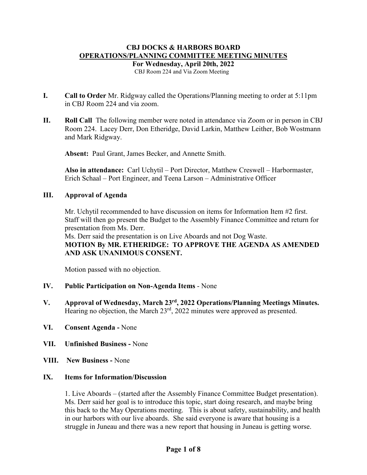# **CBJ DOCKS & HARBORS BOARD OPERATIONS/PLANNING COMMITTEE MEETING MINUTES**

**For Wednesday, April 20th, 2022**

CBJ Room 224 and Via Zoom Meeting

- **I. Call to Order** Mr. Ridgway called the Operations/Planning meeting to order at 5:11pm in CBJ Room 224 and via zoom.
- **II. Roll Call** The following member were noted in attendance via Zoom or in person in CBJ Room 224. Lacey Derr, Don Etheridge, David Larkin, Matthew Leither, Bob Wostmann and Mark Ridgway.

**Absent:** Paul Grant, James Becker, and Annette Smith.

**Also in attendance:** Carl Uchytil – Port Director, Matthew Creswell – Harbormaster, Erich Schaal – Port Engineer, and Teena Larson – Administrative Officer

#### **III. Approval of Agenda**

Mr. Uchytil recommended to have discussion on items for Information Item #2 first. Staff will then go present the Budget to the Assembly Finance Committee and return for presentation from Ms. Derr.

Ms. Derr said the presentation is on Live Aboards and not Dog Waste. **MOTION By MR. ETHERIDGE: TO APPROVE THE AGENDA AS AMENDED AND ASK UNANIMOUS CONSENT.**

Motion passed with no objection.

- **IV. Public Participation on Non-Agenda Items** None
- **V. Approval of Wednesday, March 23rd, 2022 Operations/Planning Meetings Minutes.** Hearing no objection, the March 23<sup>rd</sup>, 2022 minutes were approved as presented.
- **VI. Consent Agenda -** None
- **VII. Unfinished Business -** None
- **VIII. New Business -** None

### **IX. Items for Information/Discussion**

1. Live Aboards – (started after the Assembly Finance Committee Budget presentation). Ms. Derr said her goal is to introduce this topic, start doing research, and maybe bring this back to the May Operations meeting. This is about safety, sustainability, and health in our harbors with our live aboards. She said everyone is aware that housing is a struggle in Juneau and there was a new report that housing in Juneau is getting worse.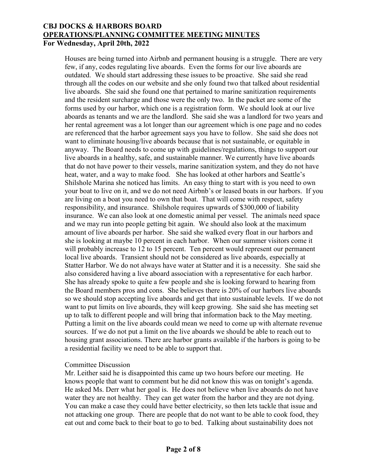Houses are being turned into Airbnb and permanent housing is a struggle. There are very few, if any, codes regulating live aboards. Even the forms for our live aboards are outdated. We should start addressing these issues to be proactive. She said she read through all the codes on our website and she only found two that talked about residential live aboards. She said she found one that pertained to marine sanitization requirements and the resident surcharge and those were the only two. In the packet are some of the forms used by our harbor, which one is a registration form. We should look at our live aboards as tenants and we are the landlord. She said she was a landlord for two years and her rental agreement was a lot longer than our agreement which is one page and no codes are referenced that the harbor agreement says you have to follow. She said she does not want to eliminate housing/live aboards because that is not sustainable, or equitable in anyway. The Board needs to come up with guidelines/regulations, things to support our live aboards in a healthy, safe, and sustainable manner. We currently have live aboards that do not have power to their vessels, marine sanitization system, and they do not have heat, water, and a way to make food. She has looked at other harbors and Seattle's Shilshole Marina she noticed has limits. An easy thing to start with is you need to own your boat to live on it, and we do not need Airbnb's or leased boats in our harbors. If you are living on a boat you need to own that boat. That will come with respect, safety responsibility, and insurance. Shilshole requires upwards of \$300,000 of liability insurance. We can also look at one domestic animal per vessel. The animals need space and we may run into people getting bit again. We should also look at the maximum amount of live aboards per harbor. She said she walked every float in our harbors and she is looking at maybe 10 percent in each harbor. When our summer visitors come it will probably increase to 12 to 15 percent. Ten percent would represent our permanent local live aboards. Transient should not be considered as live aboards, especially at Statter Harbor. We do not always have water at Statter and it is a necessity. She said she also considered having a live aboard association with a representative for each harbor. She has already spoke to quite a few people and she is looking forward to hearing from the Board members pros and cons. She believes there is 20% of our harbors live aboards so we should stop accepting live aboards and get that into sustainable levels. If we do not want to put limits on live aboards, they will keep growing. She said she has meeting set up to talk to different people and will bring that information back to the May meeting. Putting a limit on the live aboards could mean we need to come up with alternate revenue sources. If we do not put a limit on the live aboards we should be able to reach out to housing grant associations. There are harbor grants available if the harbors is going to be a residential facility we need to be able to support that.

#### Committee Discussion

Mr. Leither said he is disappointed this came up two hours before our meeting. He knows people that want to comment but he did not know this was on tonight's agenda. He asked Ms. Derr what her goal is. He does not believe when live aboards do not have water they are not healthy. They can get water from the harbor and they are not dying. You can make a case they could have better electricity, so then lets tackle that issue and not attacking one group. There are people that do not want to be able to cook food, they eat out and come back to their boat to go to bed. Talking about sustainability does not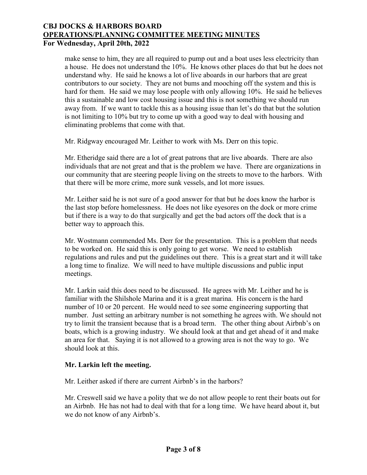make sense to him, they are all required to pump out and a boat uses less electricity than a house. He does not understand the 10%. He knows other places do that but he does not understand why. He said he knows a lot of live aboards in our harbors that are great contributors to our society. They are not bums and mooching off the system and this is hard for them. He said we may lose people with only allowing 10%. He said he believes this a sustainable and low cost housing issue and this is not something we should run away from. If we want to tackle this as a housing issue than let's do that but the solution is not limiting to 10% but try to come up with a good way to deal with housing and eliminating problems that come with that.

Mr. Ridgway encouraged Mr. Leither to work with Ms. Derr on this topic.

Mr. Etheridge said there are a lot of great patrons that are live aboards. There are also individuals that are not great and that is the problem we have. There are organizations in our community that are steering people living on the streets to move to the harbors. With that there will be more crime, more sunk vessels, and lot more issues.

Mr. Leither said he is not sure of a good answer for that but he does know the harbor is the last stop before homelessness. He does not like eyesores on the dock or more crime but if there is a way to do that surgically and get the bad actors off the dock that is a better way to approach this.

Mr. Wostmann commended Ms. Derr for the presentation. This is a problem that needs to be worked on. He said this is only going to get worse. We need to establish regulations and rules and put the guidelines out there. This is a great start and it will take a long time to finalize. We will need to have multiple discussions and public input meetings.

Mr. Larkin said this does need to be discussed. He agrees with Mr. Leither and he is familiar with the Shilshole Marina and it is a great marina. His concern is the hard number of 10 or 20 percent. He would need to see some engineering supporting that number. Just setting an arbitrary number is not something he agrees with. We should not try to limit the transient because that is a broad term. The other thing about Airbnb's on boats, which is a growing industry. We should look at that and get ahead of it and make an area for that. Saying it is not allowed to a growing area is not the way to go. We should look at this.

# **Mr. Larkin left the meeting.**

Mr. Leither asked if there are current Airbnb's in the harbors?

Mr. Creswell said we have a polity that we do not allow people to rent their boats out for an Airbnb. He has not had to deal with that for a long time. We have heard about it, but we do not know of any Airbnb's.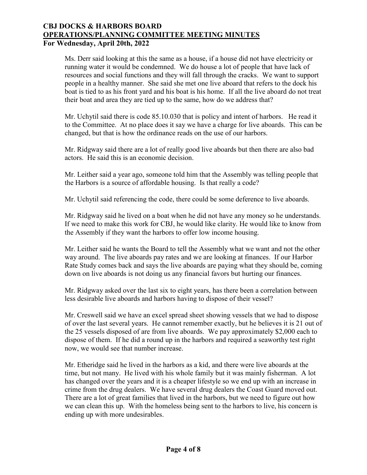Ms. Derr said looking at this the same as a house, if a house did not have electricity or running water it would be condemned. We do house a lot of people that have lack of resources and social functions and they will fall through the cracks. We want to support people in a healthy manner. She said she met one live aboard that refers to the dock his boat is tied to as his front yard and his boat is his home. If all the live aboard do not treat their boat and area they are tied up to the same, how do we address that?

Mr. Uchytil said there is code 85.10.030 that is policy and intent of harbors. He read it to the Committee. At no place does it say we have a charge for live aboards. This can be changed, but that is how the ordinance reads on the use of our harbors.

Mr. Ridgway said there are a lot of really good live aboards but then there are also bad actors. He said this is an economic decision.

Mr. Leither said a year ago, someone told him that the Assembly was telling people that the Harbors is a source of affordable housing. Is that really a code?

Mr. Uchytil said referencing the code, there could be some deference to live aboards.

Mr. Ridgway said he lived on a boat when he did not have any money so he understands. If we need to make this work for CBJ, he would like clarity. He would like to know from the Assembly if they want the harbors to offer low income housing.

Mr. Leither said he wants the Board to tell the Assembly what we want and not the other way around. The live aboards pay rates and we are looking at finances. If our Harbor Rate Study comes back and says the live aboards are paying what they should be, coming down on live aboards is not doing us any financial favors but hurting our finances.

Mr. Ridgway asked over the last six to eight years, has there been a correlation between less desirable live aboards and harbors having to dispose of their vessel?

Mr. Creswell said we have an excel spread sheet showing vessels that we had to dispose of over the last several years. He cannot remember exactly, but he believes it is 21 out of the 25 vessels disposed of are from live aboards. We pay approximately \$2,000 each to dispose of them. If he did a round up in the harbors and required a seaworthy test right now, we would see that number increase.

Mr. Etheridge said he lived in the harbors as a kid, and there were live aboards at the time, but not many. He lived with his whole family but it was mainly fisherman. A lot has changed over the years and it is a cheaper lifestyle so we end up with an increase in crime from the drug dealers. We have several drug dealers the Coast Guard moved out. There are a lot of great families that lived in the harbors, but we need to figure out how we can clean this up. With the homeless being sent to the harbors to live, his concern is ending up with more undesirables.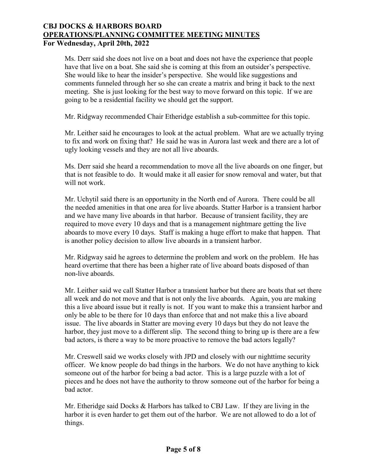Ms. Derr said she does not live on a boat and does not have the experience that people have that live on a boat. She said she is coming at this from an outsider's perspective. She would like to hear the insider's perspective. She would like suggestions and comments funneled through her so she can create a matrix and bring it back to the next meeting. She is just looking for the best way to move forward on this topic. If we are going to be a residential facility we should get the support.

Mr. Ridgway recommended Chair Etheridge establish a sub-committee for this topic.

Mr. Leither said he encourages to look at the actual problem. What are we actually trying to fix and work on fixing that? He said he was in Aurora last week and there are a lot of ugly looking vessels and they are not all live aboards.

Ms. Derr said she heard a recommendation to move all the live aboards on one finger, but that is not feasible to do. It would make it all easier for snow removal and water, but that will not work.

Mr. Uchytil said there is an opportunity in the North end of Aurora. There could be all the needed amenities in that one area for live aboards. Statter Harbor is a transient harbor and we have many live aboards in that harbor. Because of transient facility, they are required to move every 10 days and that is a management nightmare getting the live aboards to move every 10 days. Staff is making a huge effort to make that happen. That is another policy decision to allow live aboards in a transient harbor.

Mr. Ridgway said he agrees to determine the problem and work on the problem. He has heard overtime that there has been a higher rate of live aboard boats disposed of than non-live aboards.

Mr. Leither said we call Statter Harbor a transient harbor but there are boats that set there all week and do not move and that is not only the live aboards. Again, you are making this a live aboard issue but it really is not. If you want to make this a transient harbor and only be able to be there for 10 days than enforce that and not make this a live aboard issue. The live aboards in Statter are moving every 10 days but they do not leave the harbor, they just move to a different slip. The second thing to bring up is there are a few bad actors, is there a way to be more proactive to remove the bad actors legally?

Mr. Creswell said we works closely with JPD and closely with our nighttime security officer. We know people do bad things in the harbors. We do not have anything to kick someone out of the harbor for being a bad actor. This is a large puzzle with a lot of pieces and he does not have the authority to throw someone out of the harbor for being a bad actor.

Mr. Etheridge said Docks & Harbors has talked to CBJ Law. If they are living in the harbor it is even harder to get them out of the harbor. We are not allowed to do a lot of things.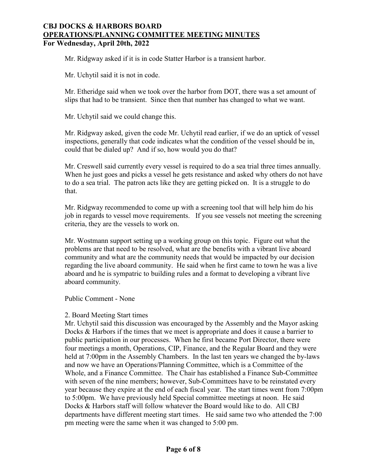Mr. Ridgway asked if it is in code Statter Harbor is a transient harbor.

Mr. Uchytil said it is not in code.

Mr. Etheridge said when we took over the harbor from DOT, there was a set amount of slips that had to be transient. Since then that number has changed to what we want.

Mr. Uchytil said we could change this.

Mr. Ridgway asked, given the code Mr. Uchytil read earlier, if we do an uptick of vessel inspections, generally that code indicates what the condition of the vessel should be in, could that be dialed up? And if so, how would you do that?

Mr. Creswell said currently every vessel is required to do a sea trial three times annually. When he just goes and picks a vessel he gets resistance and asked why others do not have to do a sea trial. The patron acts like they are getting picked on. It is a struggle to do that.

Mr. Ridgway recommended to come up with a screening tool that will help him do his job in regards to vessel move requirements. If you see vessels not meeting the screening criteria, they are the vessels to work on.

Mr. Wostmann support setting up a working group on this topic. Figure out what the problems are that need to be resolved, what are the benefits with a vibrant live aboard community and what are the community needs that would be impacted by our decision regarding the live aboard community. He said when he first came to town he was a live aboard and he is sympatric to building rules and a format to developing a vibrant live aboard community.

Public Comment - None

#### 2. Board Meeting Start times

Mr. Uchytil said this discussion was encouraged by the Assembly and the Mayor asking Docks & Harbors if the times that we meet is appropriate and does it cause a barrier to public participation in our processes. When he first became Port Director, there were four meetings a month, Operations, CIP, Finance, and the Regular Board and they were held at 7:00pm in the Assembly Chambers. In the last ten years we changed the by-laws and now we have an Operations/Planning Committee, which is a Committee of the Whole, and a Finance Committee. The Chair has established a Finance Sub-Committee with seven of the nine members; however, Sub-Committees have to be reinstated every year because they expire at the end of each fiscal year. The start times went from 7:00pm to 5:00pm. We have previously held Special committee meetings at noon. He said Docks & Harbors staff will follow whatever the Board would like to do. All CBJ departments have different meeting start times. He said same two who attended the 7:00 pm meeting were the same when it was changed to 5:00 pm.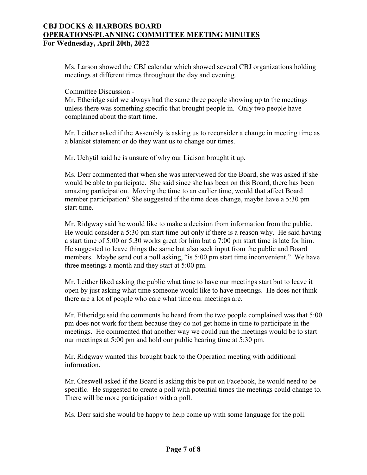Ms. Larson showed the CBJ calendar which showed several CBJ organizations holding meetings at different times throughout the day and evening.

Committee Discussion -

Mr. Etheridge said we always had the same three people showing up to the meetings unless there was something specific that brought people in. Only two people have complained about the start time.

Mr. Leither asked if the Assembly is asking us to reconsider a change in meeting time as a blanket statement or do they want us to change our times.

Mr. Uchytil said he is unsure of why our Liaison brought it up.

Ms. Derr commented that when she was interviewed for the Board, she was asked if she would be able to participate. She said since she has been on this Board, there has been amazing participation. Moving the time to an earlier time, would that affect Board member participation? She suggested if the time does change, maybe have a 5:30 pm start time.

Mr. Ridgway said he would like to make a decision from information from the public. He would consider a 5:30 pm start time but only if there is a reason why. He said having a start time of 5:00 or 5:30 works great for him but a 7:00 pm start time is late for him. He suggested to leave things the same but also seek input from the public and Board members. Maybe send out a poll asking, "is 5:00 pm start time inconvenient." We have three meetings a month and they start at 5:00 pm.

Mr. Leither liked asking the public what time to have our meetings start but to leave it open by just asking what time someone would like to have meetings. He does not think there are a lot of people who care what time our meetings are.

Mr. Etheridge said the comments he heard from the two people complained was that 5:00 pm does not work for them because they do not get home in time to participate in the meetings. He commented that another way we could run the meetings would be to start our meetings at 5:00 pm and hold our public hearing time at 5:30 pm.

Mr. Ridgway wanted this brought back to the Operation meeting with additional information.

Mr. Creswell asked if the Board is asking this be put on Facebook, he would need to be specific. He suggested to create a poll with potential times the meetings could change to. There will be more participation with a poll.

Ms. Derr said she would be happy to help come up with some language for the poll.